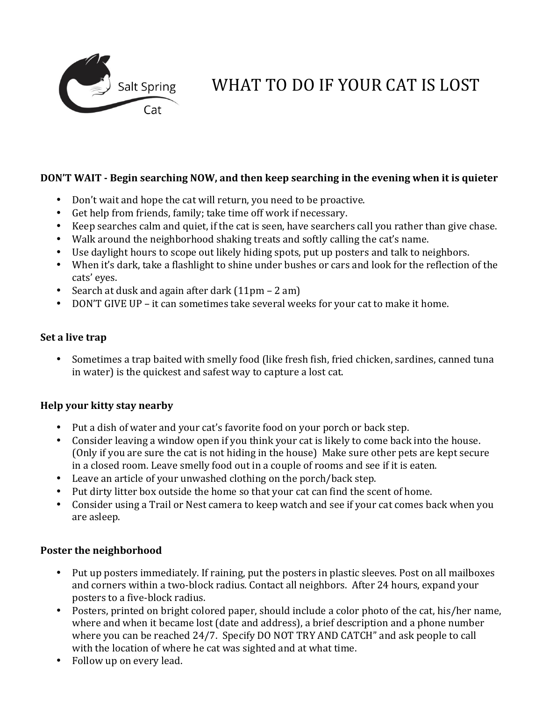

# WHAT TO DO IF YOUR CAT IS LOST

## **DON'T WAIT** - Begin searching NOW, and then keep searching in the evening when it is quieter

- Don't wait and hope the cat will return, you need to be proactive.
- Get help from friends, family; take time off work if necessary.
- Keep searches calm and quiet, if the cat is seen, have searchers call you rather than give chase.
- Walk around the neighborhood shaking treats and softly calling the cat's name.
- Use daylight hours to scope out likely hiding spots, put up posters and talk to neighbors.
- When it's dark, take a flashlight to shine under bushes or cars and look for the reflection of the cats' eyes.
- Search at dusk and again after dark  $(11pm 2 am)$
- DON'T GIVE UP it can sometimes take several weeks for your cat to make it home.

#### **Set a live trap**

• Sometimes a trap baited with smelly food (like fresh fish, fried chicken, sardines, canned tuna in water) is the quickest and safest way to capture a lost cat.

#### **Help your kitty stay nearby**

- Put a dish of water and your cat's favorite food on your porch or back step.
- Consider leaving a window open if you think your cat is likely to come back into the house. (Only if you are sure the cat is not hiding in the house) Make sure other pets are kept secure in a closed room. Leave smelly food out in a couple of rooms and see if it is eaten.
- Leave an article of your unwashed clothing on the porch/back step.
- Put dirty litter box outside the home so that your cat can find the scent of home.
- Consider using a Trail or Nest camera to keep watch and see if your cat comes back when you are asleep.

#### **Poster the neighborhood**

- Put up posters immediately. If raining, put the posters in plastic sleeves. Post on all mailboxes and corners within a two-block radius. Contact all neighbors. After 24 hours, expand your posters to a five-block radius.
- Posters, printed on bright colored paper, should include a color photo of the cat, his/her name, where and when it became lost (date and address), a brief description and a phone number where you can be reached 24/7. Specify DO NOT TRY AND CATCH" and ask people to call with the location of where he cat was sighted and at what time.
- Follow up on every lead.